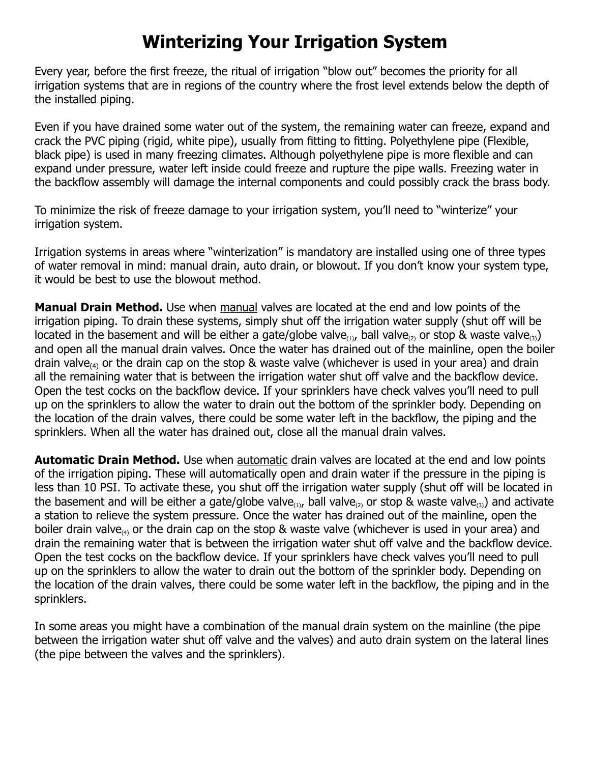# **Winterizing Your Irrigation System**

Every year, before the first freeze, the ritual of irrigation "blow out" becomes the priority for all irrigation systems that are in regions of the country where the frost level extends below the depth of the installed piping.

Even if you have drained some water out of the system, the remaining water can freeze, expand and crack the PVC piping (rigid, white pipe), usually from fitting to fitting. Polyethylene pipe (Flexible, black pipe) is used in many freezing climates. Although polyethylene pipe is more flexible and can expand under pressure, water left inside could freeze and rupture the pipe walls. Freezing water in the backflow assembly will damage the internal components and could possibly crack the brass body.

To minimize the risk of freeze damage to your irrigation system, you'll need to "winterize" your irrigation system.

Irrigation systems in areas where "winterization" is mandatory are installed using one of three types of water removal in mind: manual drain, auto drain, or blowout. If you don't know your system type, it would be best to use the blowout method.

**Manual Drain Method.** Use when manual valves are located at the end and low points of the irrigation piping. To drain these systems, simply shut off the irrigation water supply (shut off will be located in the basement and will be either a gate/globe valve<sub>(1)</sub>, ball valve<sub>(2)</sub> or stop & waste valve<sub>(3)</sub> and open all the manual drain valves. Once the water has drained out of the mainline, open the boiler drain valve<sub>(4)</sub> or the drain cap on the stop & waste valve (whichever is used in your area) and drain all the remaining water that is between the irrigation water shut off valve and the backflow device. Open the test cocks on the backflow device. If your sprinklers have check valves you'll need to pull up on the sprinklers to allow the water to drain out the bottom of the sprinkler body. Depending on the location of the drain valves, there could be some water left in the backflow, the piping and the sprinklers. When all the water has drained out, close all the manual drain valves.

**Automatic Drain Method.** Use when automatic drain valves are located at the end and low points of the irrigation piping. These will automatically open and drain water if the pressure in the piping is less than 10 PSI. To activate these, you shut off the irrigation water supply (shut off will be located in the basement and will be either a gate/globe valve<sub>(1)</sub>, ball valve<sub>(2)</sub> or stop & waste valve<sub>(3)</sub>) and activate a station to relieve the system pressure. Once the water has drained out of the mainline, open the boiler drain valve<sub>(4)</sub> or the drain cap on the stop & waste valve (whichever is used in your area) and drain the remaining water that is between the irrigation water shut off valve and the backflow device. Open the test cocks on the backflow device. If your sprinklers have check valves you'll need to pull up on the sprinklers to allow the water to drain out the bottom of the sprinkler body. Depending on the location of the drain valves, there could be some water left in the backflow, the piping and in the sprinklers.

In some areas you might have a combination of the manual drain system on the mainline (the pipe between the irrigation water shut off valve and the valves) and auto drain system on the lateral lines (the pipe between the valves and the sprinklers).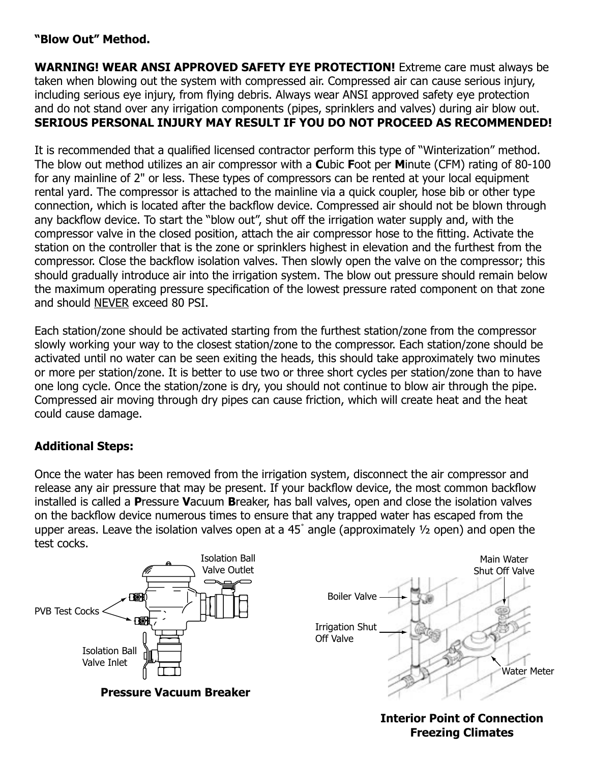#### **"Blow Out" Method.**

**WARNING! WEAR ANSI APPROVED SAFETY EYE PROTECTION!** Extreme care must always be taken when blowing out the system with compressed air. Compressed air can cause serious injury, including serious eye injury, from flying debris. Always wear ANSI approved safety eye protection and do not stand over any irrigation components (pipes, sprinklers and valves) during air blow out. **SERIOUS PERSONAL INJURY MAY RESULT IF YOU DO NOT PROCEED AS RECOMMENDED!**

It is recommended that a qualified licensed contractor perform this type of "Winterization" method. The blow out method utilizes an air compressor with a **C**ubic **F**oot per **M**inute (CFM) rating of 80-100 for any mainline of 2" or less. These types of compressors can be rented at your local equipment rental yard. The compressor is attached to the mainline via a quick coupler, hose bib or other type connection, which is located after the backflow device. Compressed air should not be blown through any backflow device. To start the "blow out", shut off the irrigation water supply and, with the compressor valve in the closed position, attach the air compressor hose to the fitting. Activate the station on the controller that is the zone or sprinklers highest in elevation and the furthest from the compressor. Close the backflow isolation valves. Then slowly open the valve on the compressor; this should gradually introduce air into the irrigation system. The blow out pressure should remain below the maximum operating pressure specification of the lowest pressure rated component on that zone and should NEVER exceed 80 PSI.

Each station/zone should be activated starting from the furthest station/zone from the compressor slowly working your way to the closest station/zone to the compressor. Each station/zone should be activated until no water can be seen exiting the heads, this should take approximately two minutes or more per station/zone. It is better to use two or three short cycles per station/zone than to have one long cycle. Once the station/zone is dry, you should not continue to blow air through the pipe. Compressed air moving through dry pipes can cause friction, which will create heat and the heat could cause damage.

### **Additional Steps:**

Once the water has been removed from the irrigation system, disconnect the air compressor and release any air pressure that may be present. If your backflow device, the most common backflow installed is called a **P**ressure **V**acuum **B**reaker, has ball valves, open and close the isolation valves on the backflow device numerous times to ensure that any trapped water has escaped from the upper areas. Leave the isolation valves open at a 45˚ angle (approximately ½ open) and open the test cocks.